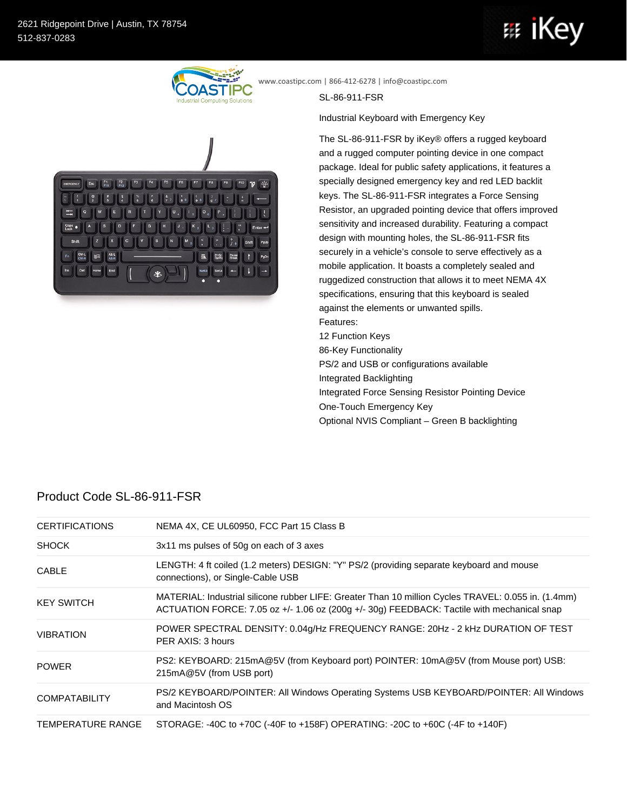## 亞 ıke



www.coastipc.com | 866-412-6278 | info@coastipc.com

SL-86-911-FSR

Industrial Keyboard with Emergency Key

The SL-86-911-FSR by iKey® offers a rugged keyboard and a rugged computer pointing device in one compact package. Ideal for public safety applications, it features a specially designed emergency key and red LED backlit keys. The SL-86-911-FSR integrates a Force Sensing Resistor, an upgraded pointing device that offers improved sensitivity and increased durability. Featuring a compact design with mounting holes, the SL-86-911-FSR fits securely in a vehicle's console to serve effectively as a mobile application. It boasts a completely sealed and ruggedized construction that allows it to meet NEMA 4X specifications, ensuring that this keyboard is sealed against the elements or unwanted spills. Features: 12 Function Keys 86-Key Functionality PS/2 and USB or configurations available Integrated Backlighting Integrated Force Sensing Resistor Pointing Device One-Touch Emergency Key Optional NVIS Compliant – Green B backlighting

## Product Code SL-86-911-FSR

| <b>CERTIFICATIONS</b>    | NEMA 4X, CE UL60950, FCC Part 15 Class B                                                                                                                                                          |
|--------------------------|---------------------------------------------------------------------------------------------------------------------------------------------------------------------------------------------------|
| <b>SHOCK</b>             | 3x11 ms pulses of 50g on each of 3 axes                                                                                                                                                           |
| <b>CABLE</b>             | LENGTH: 4 ft coiled (1.2 meters) DESIGN: "Y" PS/2 (providing separate keyboard and mouse<br>connections), or Single-Cable USB                                                                     |
| <b>KEY SWITCH</b>        | MATERIAL: Industrial silicone rubber LIFE: Greater Than 10 million Cycles TRAVEL: 0.055 in. (1.4mm)<br>ACTUATION FORCE: 7.05 oz +/- 1.06 oz (200g +/- 30g) FEEDBACK: Tactile with mechanical snap |
| <b>VIBRATION</b>         | POWER SPECTRAL DENSITY: 0.04g/Hz FREQUENCY RANGE: 20Hz - 2 kHz DURATION OF TEST<br>PER AXIS: 3 hours                                                                                              |
| <b>POWER</b>             | PS2: KEYBOARD: 215mA@5V (from Keyboard port) POINTER: 10mA@5V (from Mouse port) USB:<br>215mA@5V (from USB port)                                                                                  |
| <b>COMPATABILITY</b>     | PS/2 KEYBOARD/POINTER: All Windows Operating Systems USB KEYBOARD/POINTER: All Windows<br>and Macintosh OS                                                                                        |
| <b>TEMPERATURE RANGE</b> | STORAGE: -40C to +70C (-40F to +158F) OPERATING: -20C to +60C (-4F to +140F)                                                                                                                      |